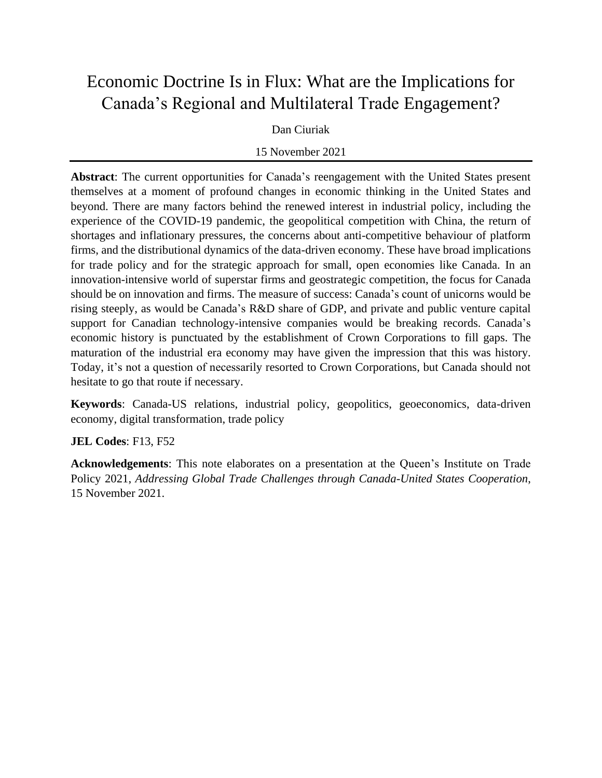# Economic Doctrine Is in Flux: What are the Implications for Canada's Regional and Multilateral Trade Engagement?

#### Dan Ciuriak

#### 15 November 2021

**Abstract**: The current opportunities for Canada's reengagement with the United States present themselves at a moment of profound changes in economic thinking in the United States and beyond. There are many factors behind the renewed interest in industrial policy, including the experience of the COVID-19 pandemic, the geopolitical competition with China, the return of shortages and inflationary pressures, the concerns about anti-competitive behaviour of platform firms, and the distributional dynamics of the data-driven economy. These have broad implications for trade policy and for the strategic approach for small, open economies like Canada. In an innovation-intensive world of superstar firms and geostrategic competition, the focus for Canada should be on innovation and firms. The measure of success: Canada's count of unicorns would be rising steeply, as would be Canada's R&D share of GDP, and private and public venture capital support for Canadian technology-intensive companies would be breaking records. Canada's economic history is punctuated by the establishment of Crown Corporations to fill gaps. The maturation of the industrial era economy may have given the impression that this was history. Today, it's not a question of necessarily resorted to Crown Corporations, but Canada should not hesitate to go that route if necessary.

**Keywords**: Canada-US relations, industrial policy, geopolitics, geoeconomics, data-driven economy, digital transformation, trade policy

#### **JEL Codes**: F13, F52

**Acknowledgements**: This note elaborates on a presentation at the Queen's Institute on Trade Policy 2021, *Addressing Global Trade Challenges through Canada-United States Cooperation*, 15 November 2021.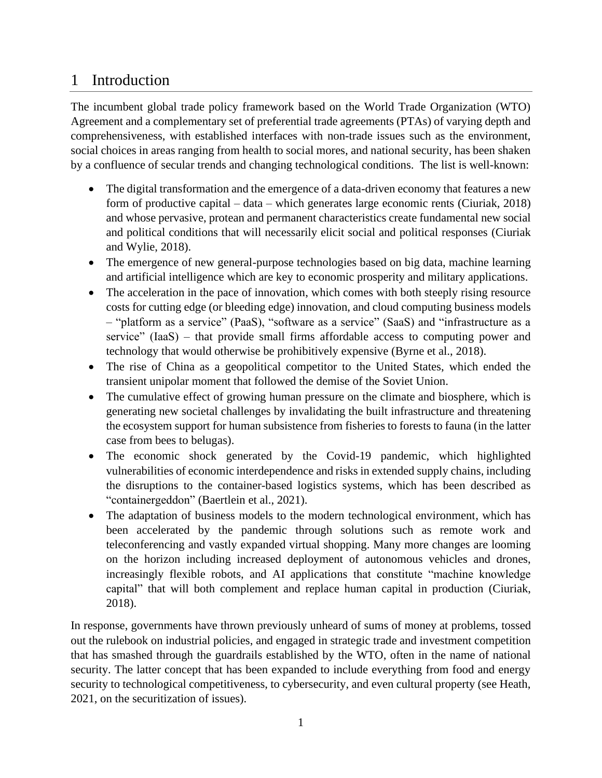## 1 Introduction

The incumbent global trade policy framework based on the World Trade Organization (WTO) Agreement and a complementary set of preferential trade agreements (PTAs) of varying depth and comprehensiveness, with established interfaces with non-trade issues such as the environment, social choices in areas ranging from health to social mores, and national security, has been shaken by a confluence of secular trends and changing technological conditions. The list is well-known:

- The digital transformation and the emergence of a data-driven economy that features a new form of productive capital – data – which generates large economic rents (Ciuriak, 2018) and whose pervasive, protean and permanent characteristics create fundamental new social and political conditions that will necessarily elicit social and political responses (Ciuriak and Wylie, 2018).
- The emergence of new general-purpose technologies based on big data, machine learning and artificial intelligence which are key to economic prosperity and military applications.
- The acceleration in the pace of innovation, which comes with both steeply rising resource costs for cutting edge (or bleeding edge) innovation, and cloud computing business models – "platform as a service" (PaaS), "software as a service" (SaaS) and "infrastructure as a service" (IaaS) – that provide small firms affordable access to computing power and technology that would otherwise be prohibitively expensive (Byrne et al., 2018).
- The rise of China as a geopolitical competitor to the United States, which ended the transient unipolar moment that followed the demise of the Soviet Union.
- The cumulative effect of growing human pressure on the climate and biosphere, which is generating new societal challenges by invalidating the built infrastructure and threatening the ecosystem support for human subsistence from fisheries to forests to fauna (in the latter case from bees to belugas).
- The economic shock generated by the Covid-19 pandemic, which highlighted vulnerabilities of economic interdependence and risks in extended supply chains, including the disruptions to the container-based logistics systems, which has been described as "containergeddon" (Baertlein et al., 2021).
- The adaptation of business models to the modern technological environment, which has been accelerated by the pandemic through solutions such as remote work and teleconferencing and vastly expanded virtual shopping. Many more changes are looming on the horizon including increased deployment of autonomous vehicles and drones, increasingly flexible robots, and AI applications that constitute "machine knowledge capital" that will both complement and replace human capital in production (Ciuriak, 2018).

In response, governments have thrown previously unheard of sums of money at problems, tossed out the rulebook on industrial policies, and engaged in strategic trade and investment competition that has smashed through the guardrails established by the WTO, often in the name of national security. The latter concept that has been expanded to include everything from food and energy security to technological competitiveness, to cybersecurity, and even cultural property (see Heath, 2021, on the securitization of issues).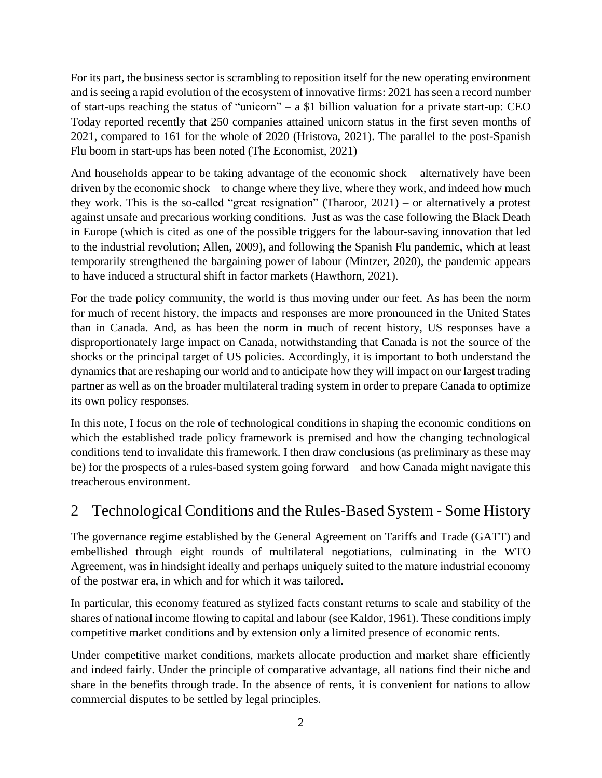For its part, the business sector is scrambling to reposition itself for the new operating environment and is seeing a rapid evolution of the ecosystem of innovative firms: 2021 has seen a record number of start-ups reaching the status of "unicorn" – a \$1 billion valuation for a private start-up: CEO Today reported recently that 250 companies attained unicorn status in the first seven months of 2021, compared to 161 for the whole of 2020 (Hristova, 2021). The parallel to the post-Spanish Flu boom in start-ups has been noted (The Economist, 2021)

And households appear to be taking advantage of the economic shock – alternatively have been driven by the economic shock – to change where they live, where they work, and indeed how much they work. This is the so-called "great resignation" (Tharoor, 2021) – or alternatively a protest against unsafe and precarious working conditions. Just as was the case following the Black Death in Europe (which is cited as one of the possible triggers for the labour-saving innovation that led to the industrial revolution; Allen, 2009), and following the Spanish Flu pandemic, which at least temporarily strengthened the bargaining power of labour (Mintzer, 2020), the pandemic appears to have induced a structural shift in factor markets (Hawthorn, 2021).

For the trade policy community, the world is thus moving under our feet. As has been the norm for much of recent history, the impacts and responses are more pronounced in the United States than in Canada. And, as has been the norm in much of recent history, US responses have a disproportionately large impact on Canada, notwithstanding that Canada is not the source of the shocks or the principal target of US policies. Accordingly, it is important to both understand the dynamics that are reshaping our world and to anticipate how they will impact on our largest trading partner as well as on the broader multilateral trading system in order to prepare Canada to optimize its own policy responses.

In this note, I focus on the role of technological conditions in shaping the economic conditions on which the established trade policy framework is premised and how the changing technological conditions tend to invalidate this framework. I then draw conclusions (as preliminary as these may be) for the prospects of a rules-based system going forward – and how Canada might navigate this treacherous environment.

## 2 Technological Conditions and the Rules-Based System - Some History

The governance regime established by the General Agreement on Tariffs and Trade (GATT) and embellished through eight rounds of multilateral negotiations, culminating in the WTO Agreement, was in hindsight ideally and perhaps uniquely suited to the mature industrial economy of the postwar era, in which and for which it was tailored.

In particular, this economy featured as stylized facts constant returns to scale and stability of the shares of national income flowing to capital and labour (see Kaldor, 1961). These conditions imply competitive market conditions and by extension only a limited presence of economic rents.

Under competitive market conditions, markets allocate production and market share efficiently and indeed fairly. Under the principle of comparative advantage, all nations find their niche and share in the benefits through trade. In the absence of rents, it is convenient for nations to allow commercial disputes to be settled by legal principles.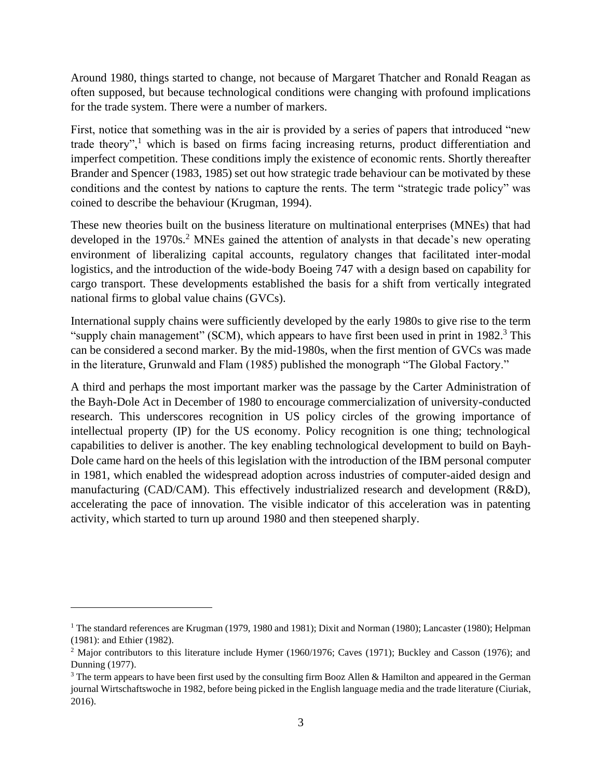Around 1980, things started to change, not because of Margaret Thatcher and Ronald Reagan as often supposed, but because technological conditions were changing with profound implications for the trade system. There were a number of markers.

First, notice that something was in the air is provided by a series of papers that introduced "new trade theory",<sup>1</sup> which is based on firms facing increasing returns, product differentiation and imperfect competition. These conditions imply the existence of economic rents. Shortly thereafter Brander and Spencer (1983, 1985) set out how strategic trade behaviour can be motivated by these conditions and the contest by nations to capture the rents. The term "strategic trade policy" was coined to describe the behaviour (Krugman, 1994).

These new theories built on the business literature on multinational enterprises (MNEs) that had developed in the 1970s.<sup>2</sup> MNEs gained the attention of analysts in that decade's new operating environment of liberalizing capital accounts, regulatory changes that facilitated inter-modal logistics, and the introduction of the wide-body Boeing 747 with a design based on capability for cargo transport. These developments established the basis for a shift from vertically integrated national firms to global value chains (GVCs).

International supply chains were sufficiently developed by the early 1980s to give rise to the term "supply chain management" (SCM), which appears to have first been used in print in 1982.<sup>3</sup> This can be considered a second marker. By the mid-1980s, when the first mention of GVCs was made in the literature, Grunwald and Flam (1985) published the monograph "The Global Factory."

A third and perhaps the most important marker was the passage by the Carter Administration of the Bayh-Dole Act in December of 1980 to encourage commercialization of university-conducted research. This underscores recognition in US policy circles of the growing importance of intellectual property (IP) for the US economy. Policy recognition is one thing; technological capabilities to deliver is another. The key enabling technological development to build on Bayh-Dole came hard on the heels of this legislation with the introduction of the IBM personal computer in 1981, which enabled the widespread adoption across industries of computer-aided design and manufacturing (CAD/CAM). This effectively industrialized research and development (R&D), accelerating the pace of innovation. The visible indicator of this acceleration was in patenting activity, which started to turn up around 1980 and then steepened sharply.

<sup>&</sup>lt;sup>1</sup> The standard references are Krugman (1979, 1980 and 1981); Dixit and Norman (1980); Lancaster (1980); Helpman (1981): and Ethier (1982).

<sup>2</sup> Major contributors to this literature include Hymer (1960/1976; Caves (1971); Buckley and Casson (1976); and Dunning (1977).

<sup>&</sup>lt;sup>3</sup> The term appears to have been first used by the consulting firm Booz Allen & Hamilton and appeared in the German journal Wirtschaftswoche in 1982, before being picked in the English language media and the trade literature (Ciuriak, 2016).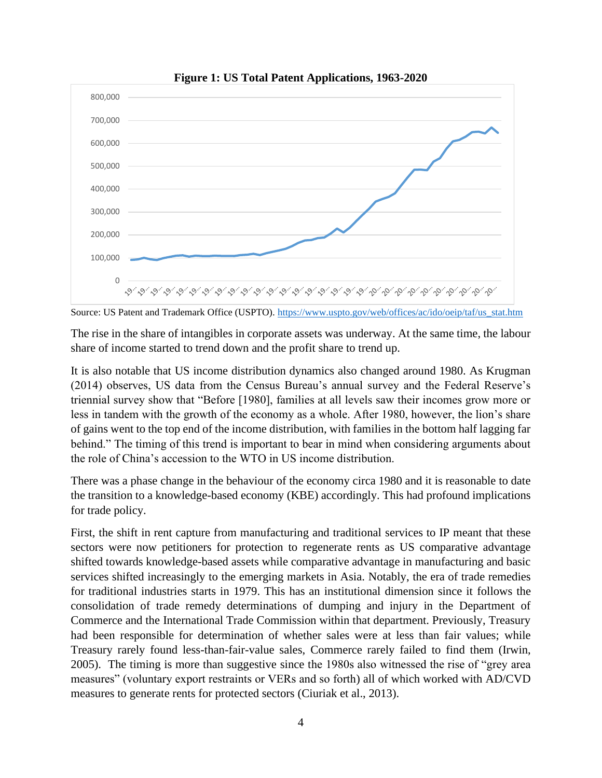

**Figure 1: US Total Patent Applications, 1963-2020**



The rise in the share of intangibles in corporate assets was underway. At the same time, the labour share of income started to trend down and the profit share to trend up.

It is also notable that US income distribution dynamics also changed around 1980. As Krugman (2014) observes, US data from the Census Bureau's annual survey and the Federal Reserve's triennial survey show that "Before [1980], families at all levels saw their incomes grow more or less in tandem with the growth of the economy as a whole. After 1980, however, the lion's share of gains went to the top end of the income distribution, with families in the bottom half lagging far behind." The timing of this trend is important to bear in mind when considering arguments about the role of China's accession to the WTO in US income distribution.

There was a phase change in the behaviour of the economy circa 1980 and it is reasonable to date the transition to a knowledge-based economy (KBE) accordingly. This had profound implications for trade policy.

First, the shift in rent capture from manufacturing and traditional services to IP meant that these sectors were now petitioners for protection to regenerate rents as US comparative advantage shifted towards knowledge-based assets while comparative advantage in manufacturing and basic services shifted increasingly to the emerging markets in Asia. Notably, the era of trade remedies for traditional industries starts in 1979. This has an institutional dimension since it follows the consolidation of trade remedy determinations of dumping and injury in the Department of Commerce and the International Trade Commission within that department. Previously, Treasury had been responsible for determination of whether sales were at less than fair values; while Treasury rarely found less-than-fair-value sales, Commerce rarely failed to find them (Irwin, 2005). The timing is more than suggestive since the 1980s also witnessed the rise of "grey area measures" (voluntary export restraints or VERs and so forth) all of which worked with AD/CVD measures to generate rents for protected sectors (Ciuriak et al., 2013).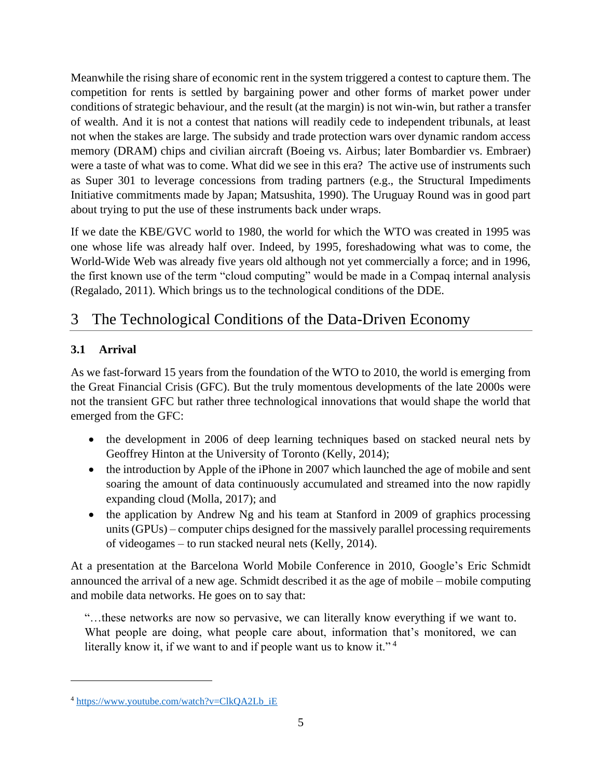Meanwhile the rising share of economic rent in the system triggered a contest to capture them. The competition for rents is settled by bargaining power and other forms of market power under conditions of strategic behaviour, and the result (at the margin) is not win-win, but rather a transfer of wealth. And it is not a contest that nations will readily cede to independent tribunals, at least not when the stakes are large. The subsidy and trade protection wars over dynamic random access memory (DRAM) chips and civilian aircraft (Boeing vs. Airbus; later Bombardier vs. Embraer) were a taste of what was to come. What did we see in this era? The active use of instruments such as Super 301 to leverage concessions from trading partners (e.g., the Structural Impediments Initiative commitments made by Japan; Matsushita, 1990). The Uruguay Round was in good part about trying to put the use of these instruments back under wraps.

If we date the KBE/GVC world to 1980, the world for which the WTO was created in 1995 was one whose life was already half over. Indeed, by 1995, foreshadowing what was to come, the World-Wide Web was already five years old although not yet commercially a force; and in 1996, the first known use of the term "cloud computing" would be made in a Compaq internal analysis (Regalado, 2011). Which brings us to the technological conditions of the DDE.

## 3 The Technological Conditions of the Data-Driven Economy

### **3.1 Arrival**

As we fast-forward 15 years from the foundation of the WTO to 2010, the world is emerging from the Great Financial Crisis (GFC). But the truly momentous developments of the late 2000s were not the transient GFC but rather three technological innovations that would shape the world that emerged from the GFC:

- the development in 2006 of deep learning techniques based on stacked neural nets by Geoffrey Hinton at the University of Toronto (Kelly, 2014);
- the introduction by Apple of the iPhone in 2007 which launched the age of mobile and sent soaring the amount of data continuously accumulated and streamed into the now rapidly expanding cloud (Molla, 2017); and
- the application by Andrew Ng and his team at Stanford in 2009 of graphics processing units (GPUs) – computer chips designed for the massively parallel processing requirements of videogames – to run stacked neural nets (Kelly, 2014).

At a presentation at the Barcelona World Mobile Conference in 2010, Google's Eric Schmidt announced the arrival of a new age. Schmidt described it as the age of mobile – mobile computing and mobile data networks. He goes on to say that:

"…these networks are now so pervasive, we can literally know everything if we want to. What people are doing, what people care about, information that's monitored, we can literally know it, if we want to and if people want us to know it."<sup>4</sup>

<sup>4</sup> [https://www.youtube.com/watch?v=ClkQA2Lb\\_iE](https://www.youtube.com/watch?v=ClkQA2Lb_iE)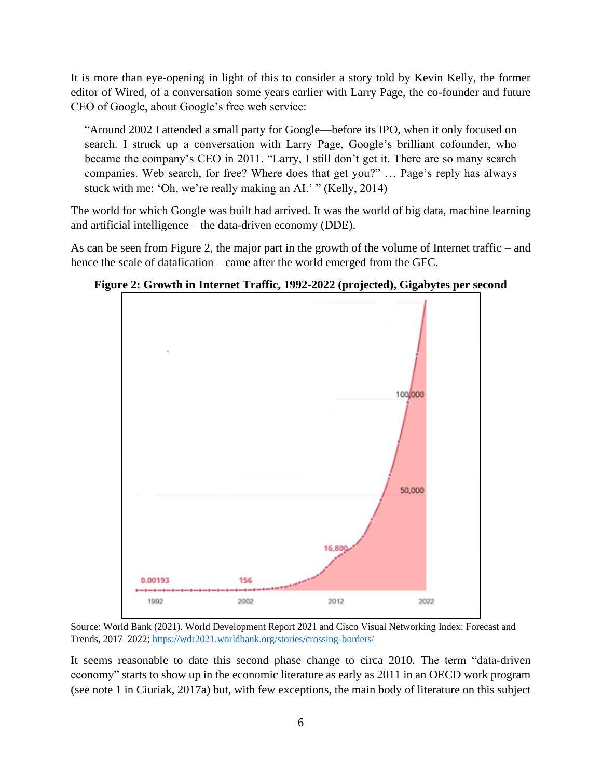It is more than eye-opening in light of this to consider a story told by Kevin Kelly, the former editor of Wired, of a conversation some years earlier with Larry Page, the co-founder and future CEO of Google, about Google's free web service:

"Around 2002 I attended a small party for Google—before its IPO, when it only focused on search. I struck up a conversation with Larry Page, Google's brilliant cofounder, who became the company's CEO in 2011. "Larry, I still don't get it. There are so many search companies. Web search, for free? Where does that get you?" … Page's reply has always stuck with me: 'Oh, we're really making an AI.' " (Kelly, 2014)

The world for which Google was built had arrived. It was the world of big data, machine learning and artificial intelligence – the data-driven economy (DDE).

As can be seen from Figure 2, the major part in the growth of the volume of Internet traffic – and hence the scale of datafication – came after the world emerged from the GFC.



**Figure 2: Growth in Internet Traffic, 1992-2022 (projected), Gigabytes per second**

Source: World Bank (2021). World Development Report 2021 and Cisco Visual Networking Index: Forecast and Trends, 2017–2022;<https://wdr2021.worldbank.org/stories/crossing-borders/>

It seems reasonable to date this second phase change to circa 2010. The term "data-driven economy" starts to show up in the economic literature as early as 2011 in an OECD work program (see note 1 in Ciuriak, 2017a) but, with few exceptions, the main body of literature on this subject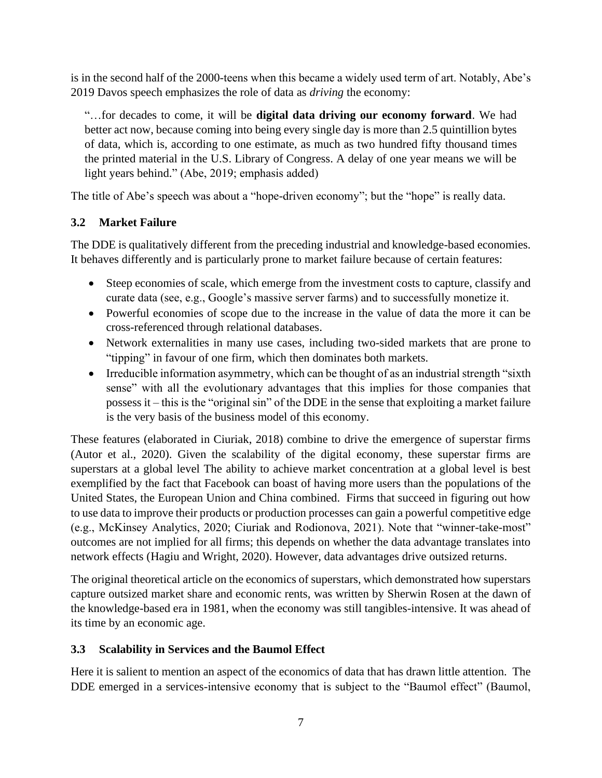is in the second half of the 2000-teens when this became a widely used term of art. Notably, Abe's 2019 Davos speech emphasizes the role of data as *driving* the economy:

"…for decades to come, it will be **digital data driving our economy forward**. We had better act now, because coming into being every single day is more than 2.5 quintillion bytes of data, which is, according to one estimate, as much as two hundred fifty thousand times the printed material in the U.S. Library of Congress. A delay of one year means we will be light years behind." (Abe, 2019; emphasis added)

The title of Abe's speech was about a "hope-driven economy"; but the "hope" is really data.

### **3.2 Market Failure**

The DDE is qualitatively different from the preceding industrial and knowledge-based economies. It behaves differently and is particularly prone to market failure because of certain features:

- Steep economies of scale, which emerge from the investment costs to capture, classify and curate data (see, e.g., Google's massive server farms) and to successfully monetize it.
- Powerful economies of scope due to the increase in the value of data the more it can be cross-referenced through relational databases.
- Network externalities in many use cases, including two-sided markets that are prone to "tipping" in favour of one firm, which then dominates both markets.
- Irreducible information asymmetry, which can be thought of as an industrial strength "sixth" sense" with all the evolutionary advantages that this implies for those companies that possess it – this is the "original sin" of the DDE in the sense that exploiting a market failure is the very basis of the business model of this economy.

These features (elaborated in Ciuriak, 2018) combine to drive the emergence of superstar firms (Autor et al., 2020). Given the scalability of the digital economy, these superstar firms are superstars at a global level The ability to achieve market concentration at a global level is best exemplified by the fact that Facebook can boast of having more users than the populations of the United States, the European Union and China combined. Firms that succeed in figuring out how to use data to improve their products or production processes can gain a powerful competitive edge (e.g., McKinsey Analytics, 2020; Ciuriak and Rodionova, 2021). Note that "winner-take-most" outcomes are not implied for all firms; this depends on whether the data advantage translates into network effects (Hagiu and Wright, 2020). However, data advantages drive outsized returns.

The original theoretical article on the economics of superstars, which demonstrated how superstars capture outsized market share and economic rents, was written by Sherwin Rosen at the dawn of the knowledge-based era in 1981, when the economy was still tangibles-intensive. It was ahead of its time by an economic age.

### **3.3 Scalability in Services and the Baumol Effect**

Here it is salient to mention an aspect of the economics of data that has drawn little attention. The DDE emerged in a services-intensive economy that is subject to the "Baumol effect" (Baumol,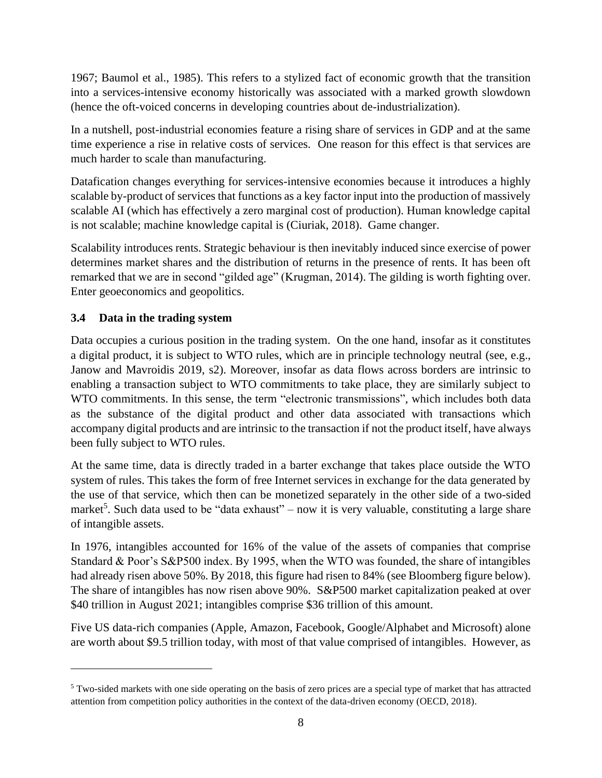1967; Baumol et al., 1985). This refers to a stylized fact of economic growth that the transition into a services-intensive economy historically was associated with a marked growth slowdown (hence the oft-voiced concerns in developing countries about de-industrialization).

In a nutshell, post-industrial economies feature a rising share of services in GDP and at the same time experience a rise in relative costs of services. One reason for this effect is that services are much harder to scale than manufacturing.

Datafication changes everything for services-intensive economies because it introduces a highly scalable by-product of services that functions as a key factor input into the production of massively scalable AI (which has effectively a zero marginal cost of production). Human knowledge capital is not scalable; machine knowledge capital is (Ciuriak, 2018). Game changer.

Scalability introduces rents. Strategic behaviour is then inevitably induced since exercise of power determines market shares and the distribution of returns in the presence of rents. It has been oft remarked that we are in second "gilded age" (Krugman, 2014). The gilding is worth fighting over. Enter geoeconomics and geopolitics.

### **3.4 Data in the trading system**

Data occupies a curious position in the trading system. On the one hand, insofar as it constitutes a digital product, it is subject to WTO rules, which are in principle technology neutral (see, e.g., Janow and Mavroidis 2019, s2). Moreover, insofar as data flows across borders are intrinsic to enabling a transaction subject to WTO commitments to take place, they are similarly subject to WTO commitments. In this sense, the term "electronic transmissions", which includes both data as the substance of the digital product and other data associated with transactions which accompany digital products and are intrinsic to the transaction if not the product itself, have always been fully subject to WTO rules.

At the same time, data is directly traded in a barter exchange that takes place outside the WTO system of rules. This takes the form of free Internet services in exchange for the data generated by the use of that service, which then can be monetized separately in the other side of a two-sided market<sup>5</sup>. Such data used to be "data exhaust" – now it is very valuable, constituting a large share of intangible assets.

In 1976, intangibles accounted for 16% of the value of the assets of companies that comprise Standard & Poor's S&P500 index. By 1995, when the WTO was founded, the share of intangibles had already risen above 50%. By 2018, this figure had risen to 84% (see Bloomberg figure below). The share of intangibles has now risen above 90%. S&P500 market capitalization peaked at over \$40 trillion in August 2021; intangibles comprise \$36 trillion of this amount.

Five US data-rich companies (Apple, Amazon, Facebook, Google/Alphabet and Microsoft) alone are worth about \$9.5 trillion today, with most of that value comprised of intangibles. However, as

<sup>&</sup>lt;sup>5</sup> Two-sided markets with one side operating on the basis of zero prices are a special type of market that has attracted attention from competition policy authorities in the context of the data-driven economy (OECD, 2018).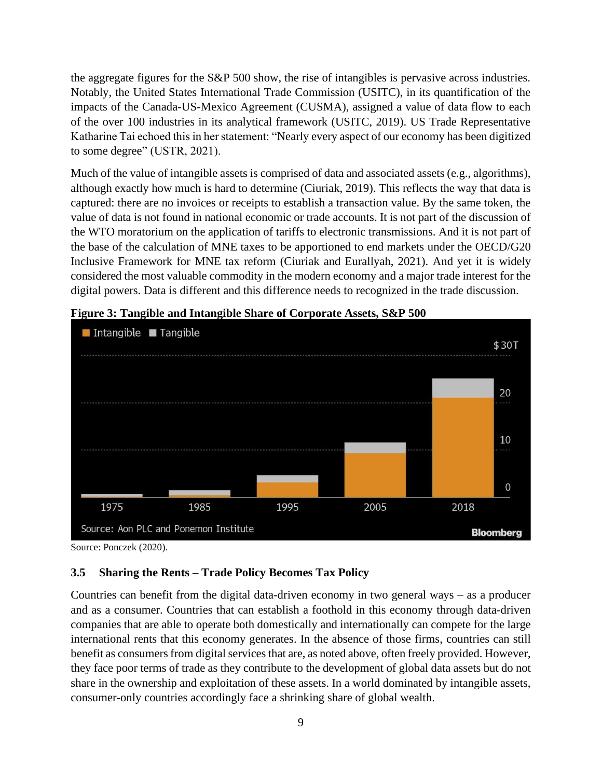the aggregate figures for the S&P 500 show, the rise of intangibles is pervasive across industries. Notably, the United States International Trade Commission (USITC), in its quantification of the impacts of the Canada-US-Mexico Agreement (CUSMA), assigned a value of data flow to each of the over 100 industries in its analytical framework (USITC, 2019). US Trade Representative Katharine Tai echoed this in her statement: "Nearly every aspect of our economy has been digitized to some degree" (USTR, 2021).

Much of the value of intangible assets is comprised of data and associated assets (e.g., algorithms), although exactly how much is hard to determine (Ciuriak, 2019). This reflects the way that data is captured: there are no invoices or receipts to establish a transaction value. By the same token, the value of data is not found in national economic or trade accounts. It is not part of the discussion of the WTO moratorium on the application of tariffs to electronic transmissions. And it is not part of the base of the calculation of MNE taxes to be apportioned to end markets under the OECD/G20 Inclusive Framework for MNE tax reform (Ciuriak and Eurallyah, 2021). And yet it is widely considered the most valuable commodity in the modern economy and a major trade interest for the digital powers. Data is different and this difference needs to recognized in the trade discussion.



**Figure 3: Tangible and Intangible Share of Corporate Assets, S&P 500** 

Source: Ponczek (2020).

#### **3.5 Sharing the Rents – Trade Policy Becomes Tax Policy**

Countries can benefit from the digital data-driven economy in two general ways – as a producer and as a consumer. Countries that can establish a foothold in this economy through data-driven companies that are able to operate both domestically and internationally can compete for the large international rents that this economy generates. In the absence of those firms, countries can still benefit as consumers from digital services that are, as noted above, often freely provided. However, they face poor terms of trade as they contribute to the development of global data assets but do not share in the ownership and exploitation of these assets. In a world dominated by intangible assets, consumer-only countries accordingly face a shrinking share of global wealth.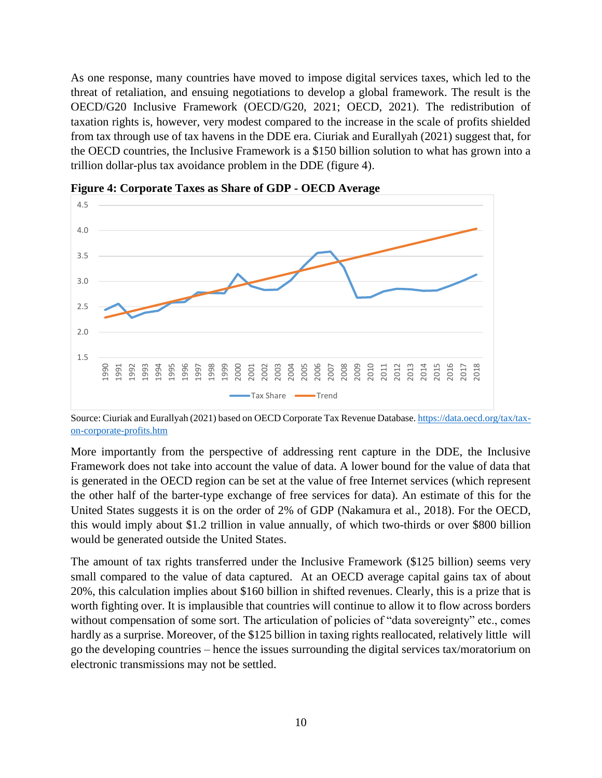As one response, many countries have moved to impose digital services taxes, which led to the threat of retaliation, and ensuing negotiations to develop a global framework. The result is the OECD/G20 Inclusive Framework (OECD/G20, 2021; OECD, 2021). The redistribution of taxation rights is, however, very modest compared to the increase in the scale of profits shielded from tax through use of tax havens in the DDE era. Ciuriak and Eurallyah (2021) suggest that, for the OECD countries, the Inclusive Framework is a \$150 billion solution to what has grown into a trillion dollar-plus tax avoidance problem in the DDE (figure 4).



**Figure 4: Corporate Taxes as Share of GDP - OECD Average**

Source: Ciuriak and Eurallyah (2021) based on OECD Corporate Tax Revenue Database[. https://data.oecd.org/tax/tax](https://data.oecd.org/tax/tax-on-corporate-profits.htm)[on-corporate-profits.htm](https://data.oecd.org/tax/tax-on-corporate-profits.htm)

More importantly from the perspective of addressing rent capture in the DDE, the Inclusive Framework does not take into account the value of data. A lower bound for the value of data that is generated in the OECD region can be set at the value of free Internet services (which represent the other half of the barter-type exchange of free services for data). An estimate of this for the United States suggests it is on the order of 2% of GDP (Nakamura et al., 2018). For the OECD, this would imply about \$1.2 trillion in value annually, of which two-thirds or over \$800 billion would be generated outside the United States.

The amount of tax rights transferred under the Inclusive Framework (\$125 billion) seems very small compared to the value of data captured. At an OECD average capital gains tax of about 20%, this calculation implies about \$160 billion in shifted revenues. Clearly, this is a prize that is worth fighting over. It is implausible that countries will continue to allow it to flow across borders without compensation of some sort. The articulation of policies of "data sovereignty" etc., comes hardly as a surprise. Moreover, of the \$125 billion in taxing rights reallocated, relatively little will go the developing countries – hence the issues surrounding the digital services tax/moratorium on electronic transmissions may not be settled.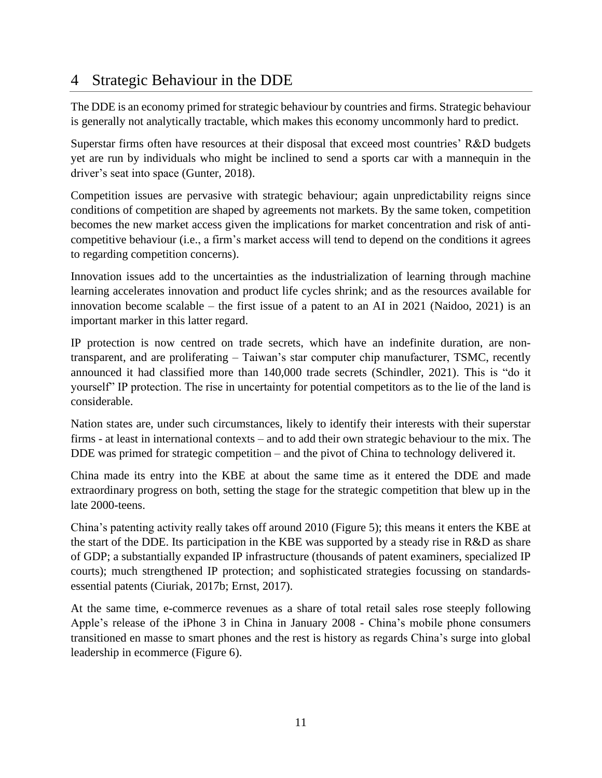## 4 Strategic Behaviour in the DDE

The DDE is an economy primed for strategic behaviour by countries and firms. Strategic behaviour is generally not analytically tractable, which makes this economy uncommonly hard to predict.

Superstar firms often have resources at their disposal that exceed most countries' R&D budgets yet are run by individuals who might be inclined to send a sports car with a mannequin in the driver's seat into space (Gunter, 2018).

Competition issues are pervasive with strategic behaviour; again unpredictability reigns since conditions of competition are shaped by agreements not markets. By the same token, competition becomes the new market access given the implications for market concentration and risk of anticompetitive behaviour (i.e., a firm's market access will tend to depend on the conditions it agrees to regarding competition concerns).

Innovation issues add to the uncertainties as the industrialization of learning through machine learning accelerates innovation and product life cycles shrink; and as the resources available for innovation become scalable – the first issue of a patent to an AI in 2021 (Naidoo, 2021) is an important marker in this latter regard.

IP protection is now centred on trade secrets, which have an indefinite duration, are nontransparent, and are proliferating – Taiwan's star computer chip manufacturer, TSMC, recently announced it had classified more than 140,000 trade secrets (Schindler, 2021). This is "do it yourself" IP protection. The rise in uncertainty for potential competitors as to the lie of the land is considerable.

Nation states are, under such circumstances, likely to identify their interests with their superstar firms - at least in international contexts – and to add their own strategic behaviour to the mix. The DDE was primed for strategic competition – and the pivot of China to technology delivered it.

China made its entry into the KBE at about the same time as it entered the DDE and made extraordinary progress on both, setting the stage for the strategic competition that blew up in the late 2000-teens.

China's patenting activity really takes off around 2010 (Figure 5); this means it enters the KBE at the start of the DDE. Its participation in the KBE was supported by a steady rise in R&D as share of GDP; a substantially expanded IP infrastructure (thousands of patent examiners, specialized IP courts); much strengthened IP protection; and sophisticated strategies focussing on standardsessential patents (Ciuriak, 2017b; Ernst, 2017).

At the same time, e-commerce revenues as a share of total retail sales rose steeply following Apple's release of the iPhone 3 in China in January 2008 - China's mobile phone consumers transitioned en masse to smart phones and the rest is history as regards China's surge into global leadership in ecommerce (Figure 6).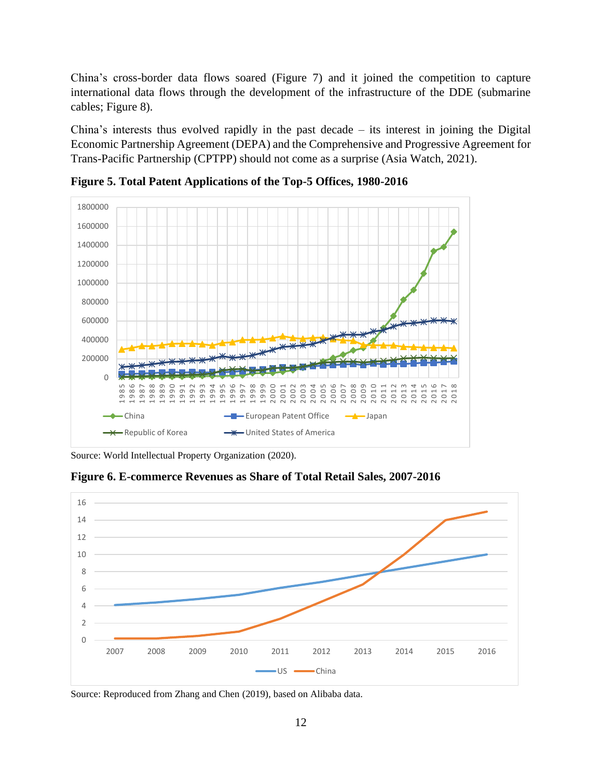China's cross-border data flows soared (Figure 7) and it joined the competition to capture international data flows through the development of the infrastructure of the DDE (submarine cables; Figure 8).

China's interests thus evolved rapidly in the past decade – its interest in joining the Digital Economic Partnership Agreement (DEPA) and the Comprehensive and Progressive Agreement for Trans-Pacific Partnership (CPTPP) should not come as a surprise (Asia Watch, 2021).



**Figure 5. Total Patent Applications of the Top-5 Offices, 1980-2016**

**Figure 6. E-commerce Revenues as Share of Total Retail Sales, 2007-2016**



Source: Reproduced from Zhang and Chen (2019), based on Alibaba data.

Source: World Intellectual Property Organization (2020).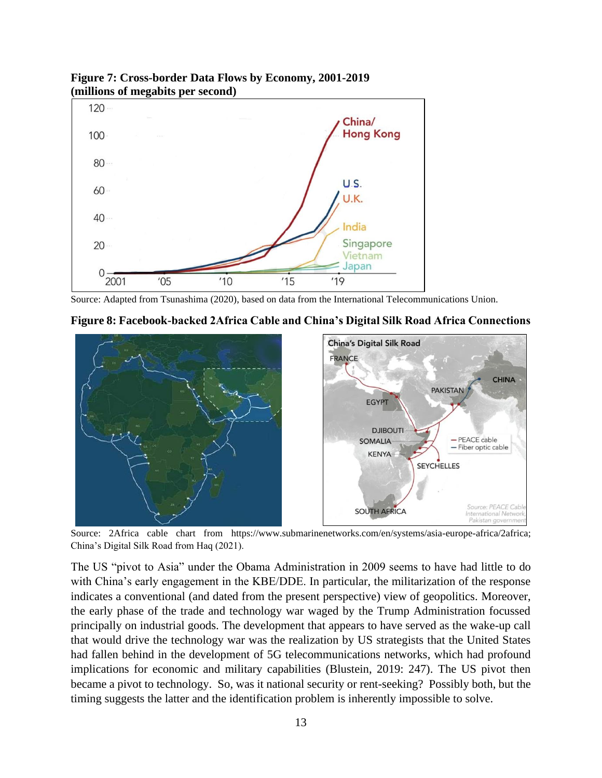

**Figure 7: Cross-border Data Flows by Economy, 2001-2019 (millions of megabits per second)**

Source: Adapted from Tsunashima (2020), based on data from the International Telecommunications Union.





Source: 2Africa cable chart from https://www.submarinenetworks.com/en/systems/asia-europe-africa/2africa; China's Digital Silk Road from Haq (2021).

The US "pivot to Asia" under the Obama Administration in 2009 seems to have had little to do with China's early engagement in the KBE/DDE. In particular, the militarization of the response indicates a conventional (and dated from the present perspective) view of geopolitics. Moreover, the early phase of the trade and technology war waged by the Trump Administration focussed principally on industrial goods. The development that appears to have served as the wake-up call that would drive the technology war was the realization by US strategists that the United States had fallen behind in the development of 5G telecommunications networks, which had profound implications for economic and military capabilities (Blustein, 2019: 247). The US pivot then became a pivot to technology. So, was it national security or rent-seeking? Possibly both, but the timing suggests the latter and the identification problem is inherently impossible to solve.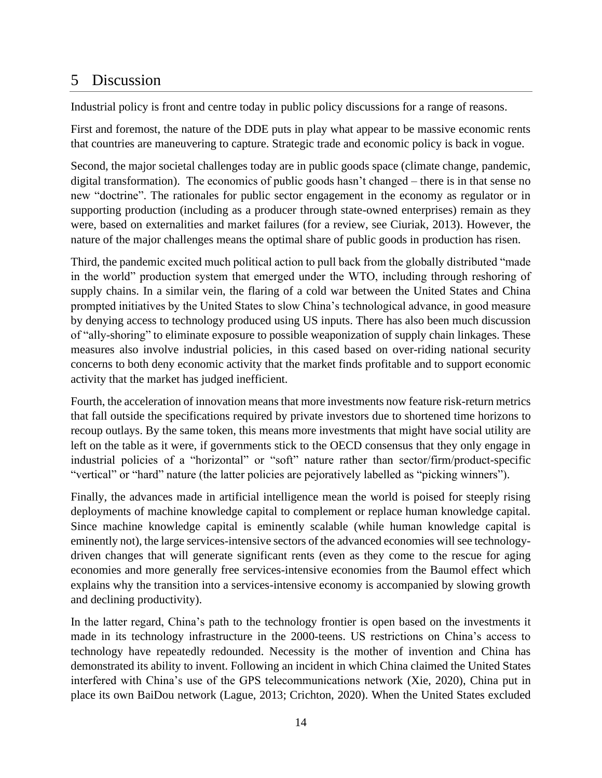## 5 Discussion

Industrial policy is front and centre today in public policy discussions for a range of reasons.

First and foremost, the nature of the DDE puts in play what appear to be massive economic rents that countries are maneuvering to capture. Strategic trade and economic policy is back in vogue.

Second, the major societal challenges today are in public goods space (climate change, pandemic, digital transformation). The economics of public goods hasn't changed – there is in that sense no new "doctrine". The rationales for public sector engagement in the economy as regulator or in supporting production (including as a producer through state-owned enterprises) remain as they were, based on externalities and market failures (for a review, see Ciuriak, 2013). However, the nature of the major challenges means the optimal share of public goods in production has risen.

Third, the pandemic excited much political action to pull back from the globally distributed "made in the world" production system that emerged under the WTO, including through reshoring of supply chains. In a similar vein, the flaring of a cold war between the United States and China prompted initiatives by the United States to slow China's technological advance, in good measure by denying access to technology produced using US inputs. There has also been much discussion of "ally-shoring" to eliminate exposure to possible weaponization of supply chain linkages. These measures also involve industrial policies, in this cased based on over-riding national security concerns to both deny economic activity that the market finds profitable and to support economic activity that the market has judged inefficient.

Fourth, the acceleration of innovation means that more investments now feature risk-return metrics that fall outside the specifications required by private investors due to shortened time horizons to recoup outlays. By the same token, this means more investments that might have social utility are left on the table as it were, if governments stick to the OECD consensus that they only engage in industrial policies of a "horizontal" or "soft" nature rather than sector/firm/product-specific "vertical" or "hard" nature (the latter policies are pejoratively labelled as "picking winners").

Finally, the advances made in artificial intelligence mean the world is poised for steeply rising deployments of machine knowledge capital to complement or replace human knowledge capital. Since machine knowledge capital is eminently scalable (while human knowledge capital is eminently not), the large services-intensive sectors of the advanced economies will see technologydriven changes that will generate significant rents (even as they come to the rescue for aging economies and more generally free services-intensive economies from the Baumol effect which explains why the transition into a services-intensive economy is accompanied by slowing growth and declining productivity).

In the latter regard, China's path to the technology frontier is open based on the investments it made in its technology infrastructure in the 2000-teens. US restrictions on China's access to technology have repeatedly redounded. Necessity is the mother of invention and China has demonstrated its ability to invent. Following an incident in which China claimed the United States interfered with China's use of the GPS telecommunications network (Xie, 2020), China put in place its own BaiDou network (Lague, 2013; Crichton, 2020). When the United States excluded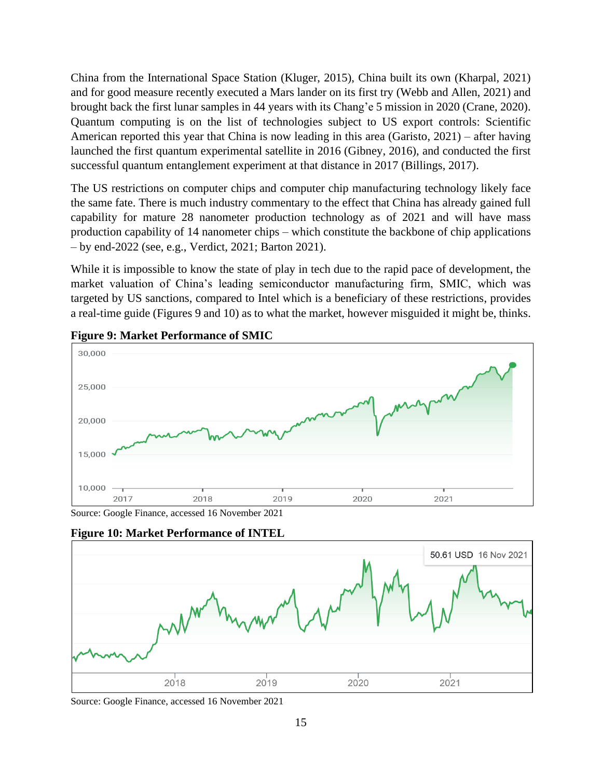China from the International Space Station (Kluger, 2015), China built its own (Kharpal, 2021) and for good measure recently executed a Mars lander on its first try (Webb and Allen, 2021) and brought back the first lunar samples in 44 years with its Chang'e 5 mission in 2020 (Crane, 2020). Quantum computing is on the list of technologies subject to US export controls: Scientific American reported this year that China is now leading in this area (Garisto, 2021) – after having launched the first quantum experimental satellite in 2016 (Gibney, 2016), and conducted the first successful quantum entanglement experiment at that distance in 2017 (Billings, 2017).

The US restrictions on computer chips and computer chip manufacturing technology likely face the same fate. There is much industry commentary to the effect that China has already gained full capability for mature 28 nanometer production technology as of 2021 and will have mass production capability of 14 nanometer chips – which constitute the backbone of chip applications – by end-2022 (see, e.g., Verdict, 2021; Barton 2021).

While it is impossible to know the state of play in tech due to the rapid pace of development, the market valuation of China's leading semiconductor manufacturing firm, SMIC, which was targeted by US sanctions, compared to Intel which is a beneficiary of these restrictions, provides a real-time guide (Figures 9 and 10) as to what the market, however misguided it might be, thinks.



#### **Figure 9: Market Performance of SMIC**

Source: Google Finance, accessed 16 November 2021



**Figure 10: Market Performance of INTEL**

Source: Google Finance, accessed 16 November 2021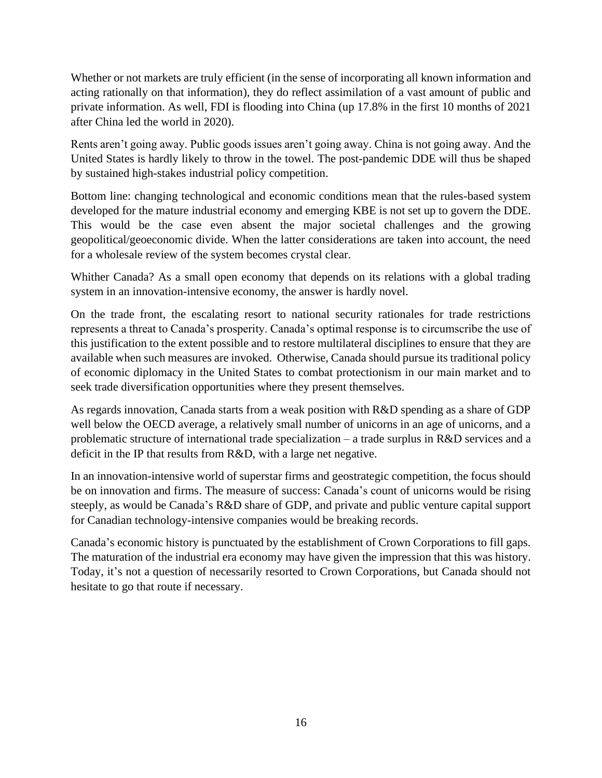Whether or not markets are truly efficient (in the sense of incorporating all known information and acting rationally on that information), they do reflect assimilation of a vast amount of public and private information. As well, FDI is flooding into China (up 17.8% in the first 10 months of 2021 after China led the world in 2020).

Rents aren't going away. Public goods issues aren't going away. China is not going away. And the United States is hardly likely to throw in the towel. The post-pandemic DDE will thus be shaped by sustained high-stakes industrial policy competition.

Bottom line: changing technological and economic conditions mean that the rules-based system developed for the mature industrial economy and emerging KBE is not set up to govern the DDE. This would be the case even absent the major societal challenges and the growing geopolitical/geoeconomic divide. When the latter considerations are taken into account, the need for a wholesale review of the system becomes crystal clear.

Whither Canada? As a small open economy that depends on its relations with a global trading system in an innovation-intensive economy, the answer is hardly novel.

On the trade front, the escalating resort to national security rationales for trade restrictions represents a threat to Canada's prosperity. Canada's optimal response is to circumscribe the use of this justification to the extent possible and to restore multilateral disciplines to ensure that they are available when such measures are invoked. Otherwise, Canada should pursue its traditional policy of economic diplomacy in the United States to combat protectionism in our main market and to seek trade diversification opportunities where they present themselves.

As regards innovation, Canada starts from a weak position with R&D spending as a share of GDP well below the OECD average, a relatively small number of unicorns in an age of unicorns, and a problematic structure of international trade specialization – a trade surplus in R&D services and a deficit in the IP that results from R&D, with a large net negative.

In an innovation-intensive world of superstar firms and geostrategic competition, the focus should be on innovation and firms. The measure of success: Canada's count of unicorns would be rising steeply, as would be Canada's R&D share of GDP, and private and public venture capital support for Canadian technology-intensive companies would be breaking records.

Canada's economic history is punctuated by the establishment of Crown Corporations to fill gaps. The maturation of the industrial era economy may have given the impression that this was history. Today, it's not a question of necessarily resorted to Crown Corporations, but Canada should not hesitate to go that route if necessary.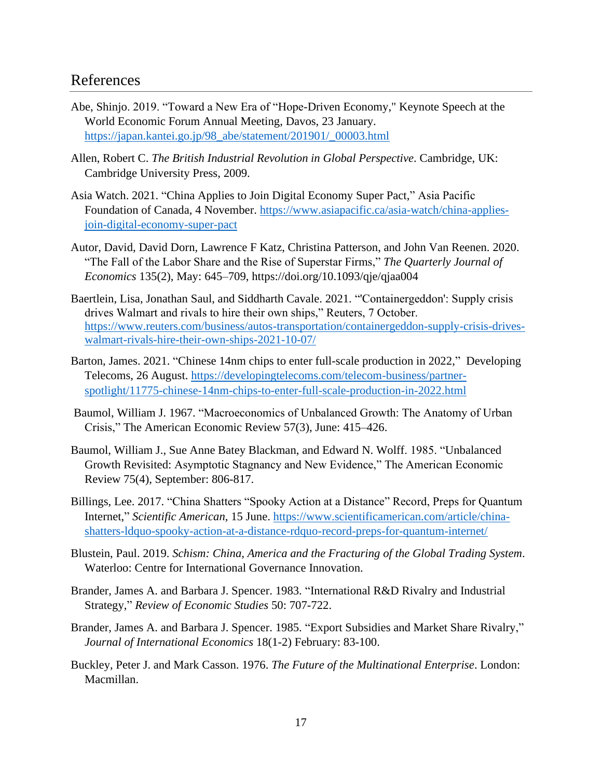### References

- Abe, Shinjo. 2019. "Toward a New Era of "Hope-Driven Economy," Keynote Speech at the World Economic Forum Annual Meeting, Davos, 23 January. [https://japan.kantei.go.jp/98\\_abe/statement/201901/\\_00003.html](https://japan.kantei.go.jp/98_abe/statement/201901/_00003.html)
- Allen, Robert C. *The British Industrial Revolution in Global Perspective*. Cambridge, UK: Cambridge University Press, 2009.
- Asia Watch. 2021. "China Applies to Join Digital Economy Super Pact," Asia Pacific Foundation of Canada, 4 November. [https://www.asiapacific.ca/asia-watch/china-applies](https://www.asiapacific.ca/asia-watch/china-applies-join-digital-economy-super-pact)[join-digital-economy-super-pact](https://www.asiapacific.ca/asia-watch/china-applies-join-digital-economy-super-pact)
- Autor, David, David Dorn, Lawrence F Katz, Christina Patterson, and John Van Reenen. 2020. "The Fall of the Labor Share and the Rise of Superstar Firms," *The Quarterly Journal of Economics* 135(2), May: 645–709, https://doi.org/10.1093/qje/qjaa004
- Baertlein, Lisa, Jonathan Saul, and Siddharth Cavale. 2021. "'Containergeddon': Supply crisis drives Walmart and rivals to hire their own ships," Reuters, 7 October. [https://www.reuters.com/business/autos-transportation/containergeddon-supply-crisis-drives](https://www.reuters.com/business/autos-transportation/containergeddon-supply-crisis-drives-walmart-rivals-hire-their-own-ships-2021-10-07/)[walmart-rivals-hire-their-own-ships-2021-10-07/](https://www.reuters.com/business/autos-transportation/containergeddon-supply-crisis-drives-walmart-rivals-hire-their-own-ships-2021-10-07/)
- Barton, James. 2021. "Chinese 14nm chips to enter full-scale production in 2022," Developing Telecoms, 26 August. [https://developingtelecoms.com/telecom-business/partner](https://developingtelecoms.com/telecom-business/partner-spotlight/11775-chinese-14nm-chips-to-enter-full-scale-production-in-2022.html)[spotlight/11775-chinese-14nm-chips-to-enter-full-scale-production-in-2022.html](https://developingtelecoms.com/telecom-business/partner-spotlight/11775-chinese-14nm-chips-to-enter-full-scale-production-in-2022.html)
- Baumol, William J. 1967. "Macroeconomics of Unbalanced Growth: The Anatomy of Urban Crisis," The American Economic Review 57(3), June: 415–426.
- Baumol, William J., Sue Anne Batey Blackman, and Edward N. Wolff. 1985. "Unbalanced Growth Revisited: Asymptotic Stagnancy and New Evidence," The American Economic Review 75(4), September: 806-817.
- Billings, Lee. 2017. "China Shatters "Spooky Action at a Distance" Record, Preps for Quantum Internet," *Scientific American*, 15 June. [https://www.scientificamerican.com/article/china](https://www.scientificamerican.com/article/china-shatters-ldquo-spooky-action-at-a-distance-rdquo-record-preps-for-quantum-internet/)[shatters-ldquo-spooky-action-at-a-distance-rdquo-record-preps-for-quantum-internet/](https://www.scientificamerican.com/article/china-shatters-ldquo-spooky-action-at-a-distance-rdquo-record-preps-for-quantum-internet/)
- Blustein, Paul. 2019. *Schism: China, America and the Fracturing of the Global Trading System*. Waterloo: Centre for International Governance Innovation.
- Brander, James A. and Barbara J. Spencer. 1983. "International R&D Rivalry and Industrial Strategy," *Review of Economic Studies* 50: 707-722.
- Brander, James A. and Barbara J. Spencer. 1985. "Export Subsidies and Market Share Rivalry," *Journal of International Economics* 18(1-2) February: 83-100.
- Buckley, Peter J. and Mark Casson. 1976. *The Future of the Multinational Enterprise*. London: Macmillan.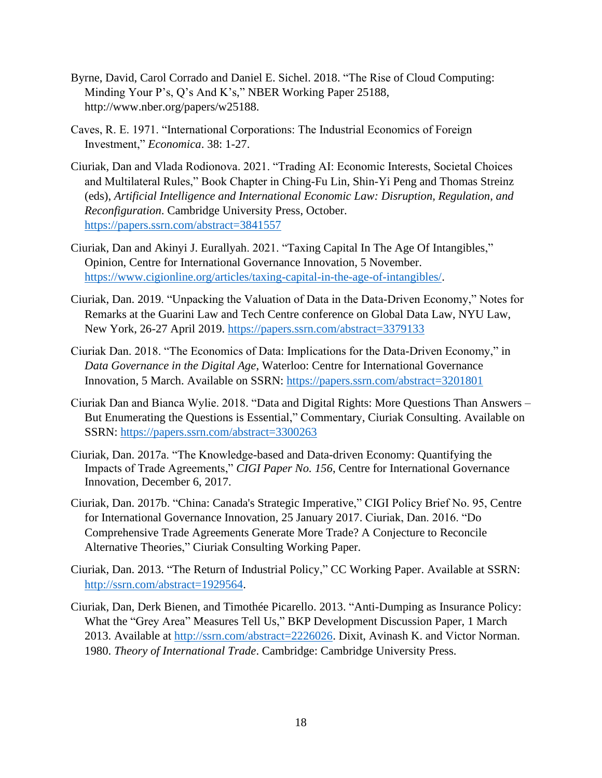- Byrne, David, Carol Corrado and Daniel E. Sichel. 2018. "The Rise of Cloud Computing: Minding Your P's, Q's And K's," NBER Working Paper 25188, http://www.nber.org/papers/w25188.
- Caves, R. E. 1971. "International Corporations: The Industrial Economics of Foreign Investment," *Economica*. 38: 1-27.
- Ciuriak, Dan and Vlada Rodionova. 2021. "Trading AI: Economic Interests, Societal Choices and Multilateral Rules," Book Chapter in Ching-Fu Lin, Shin-Yi Peng and Thomas Streinz (eds), *Artificial Intelligence and International Economic Law: Disruption, Regulation, and Reconfiguration*. Cambridge University Press, October. <https://papers.ssrn.com/abstract=3841557>
- Ciuriak, Dan and Akinyi J. Eurallyah. 2021. "Taxing Capital In The Age Of Intangibles," Opinion, Centre for International Governance Innovation, 5 November. [https://www.cigionline.org/articles/taxing-capital-in-the-age-of-intangibles/.](https://www.cigionline.org/articles/taxing-capital-in-the-age-of-intangibles/)
- Ciuriak, Dan. 2019. "Unpacking the Valuation of Data in the Data-Driven Economy," Notes for Remarks at the Guarini Law and Tech Centre conference on Global Data Law, NYU Law, New York, 26-27 April 2019.<https://papers.ssrn.com/abstract=3379133>
- Ciuriak Dan. 2018. "The Economics of Data: Implications for the Data-Driven Economy," in *Data Governance in the Digital Age*, Waterloo: Centre for International Governance Innovation, 5 March. Available on SSRN:<https://papers.ssrn.com/abstract=3201801>
- Ciuriak Dan and Bianca Wylie. 2018. "Data and Digital Rights: More Questions Than Answers But Enumerating the Questions is Essential," Commentary, Ciuriak Consulting. Available on SSRN:<https://papers.ssrn.com/abstract=3300263>
- Ciuriak, Dan. 2017a. "The Knowledge-based and Data-driven Economy: Quantifying the Impacts of Trade Agreements," *CIGI Paper No. 156*, Centre for International Governance Innovation, December 6, 2017.
- Ciuriak, Dan. 2017b. "China: Canada's Strategic Imperative," CIGI Policy Brief No. 95, Centre for International Governance Innovation, 25 January 2017. Ciuriak, Dan. 2016. "Do Comprehensive Trade Agreements Generate More Trade? A Conjecture to Reconcile Alternative Theories," Ciuriak Consulting Working Paper.
- Ciuriak, Dan. 2013. "The Return of Industrial Policy," CC Working Paper. Available at SSRN: [http://ssrn.com/abstract=1929564.](http://ssrn.com/abstract=1929564)
- Ciuriak, Dan, Derk Bienen, and Timothée Picarello. 2013. "Anti-Dumping as Insurance Policy: What the "Grey Area" Measures Tell Us," BKP Development Discussion Paper, 1 March 2013. Available at [http://ssrn.com/abstract=2226026.](http://ssrn.com/abstract=2226026) Dixit, Avinash K. and Victor Norman. 1980. *Theory of International Trade*. Cambridge: Cambridge University Press.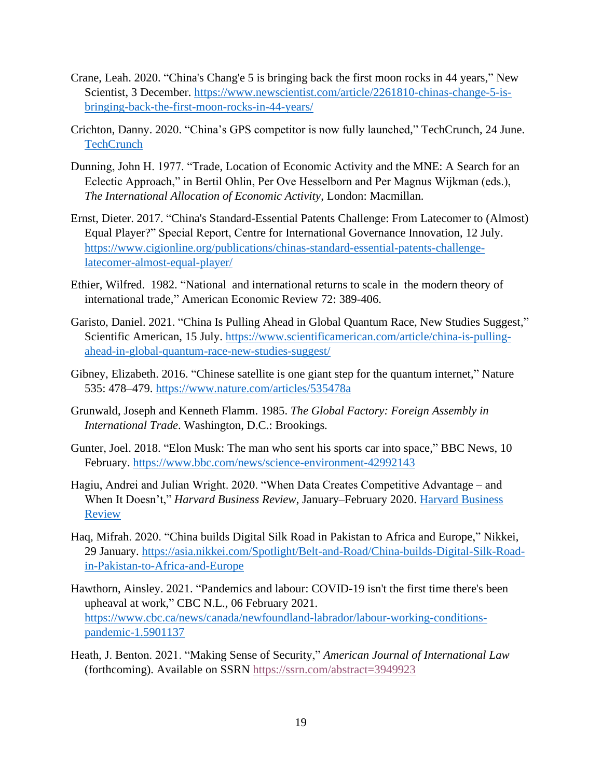- Crane, Leah. 2020. "China's Chang'e 5 is bringing back the first moon rocks in 44 years," New Scientist, 3 December. [https://www.newscientist.com/article/2261810-chinas-change-5-is](https://www.newscientist.com/article/2261810-chinas-change-5-is-bringing-back-the-first-moon-rocks-in-44-years/)[bringing-back-the-first-moon-rocks-in-44-years/](https://www.newscientist.com/article/2261810-chinas-change-5-is-bringing-back-the-first-moon-rocks-in-44-years/)
- Crichton, Danny. 2020. "China's GPS competitor is now fully launched," TechCrunch, 24 June. **[TechCrunch](https://techcrunch.com/2020/06/24/chinas-gps-competitor-is-now-fully-launched/?guccounter=1&guce_referrer=aHR0cHM6Ly93d3cuZ29vZ2xlLmNvbS8&guce_referrer_sig=AQAAAEnbLLanrEd8WubIDjilrfxwtyLPI8INiyAWMQMO9NAykN4DuQXslZKJgucp3qIFBDhOeoSLbOuOFFzp_Bzu8W94XZhbdU5P08wBdrrXz5Ec29prRQIy3-8JK_DO8a69jKWKdwt2Mr42bgNztxlQx4XwBKnSaGTiXaPxiu1IaFeu)**
- Dunning, John H. 1977. "Trade, Location of Economic Activity and the MNE: A Search for an Eclectic Approach," in Bertil Ohlin, Per Ove Hesselborn and Per Magnus Wijkman (eds.), *The International Allocation of Economic Activity*, London: Macmillan.
- Ernst, Dieter. 2017. "China's Standard-Essential Patents Challenge: From Latecomer to (Almost) Equal Player?" Special Report, Centre for International Governance Innovation, 12 July. [https://www.cigionline.org/publications/chinas-standard-essential-patents-challenge](https://www.cigionline.org/publications/chinas-standard-essential-patents-challenge-latecomer-almost-equal-player/)[latecomer-almost-equal-player/](https://www.cigionline.org/publications/chinas-standard-essential-patents-challenge-latecomer-almost-equal-player/)
- Ethier, Wilfred. 1982. "National and international returns to scale in the modern theory of international trade," American Economic Review 72: 389-406.
- Garisto, Daniel. 2021. "China Is Pulling Ahead in Global Quantum Race, New Studies Suggest," Scientific American, 15 July. [https://www.scientificamerican.com/article/china-is-pulling](https://www.scientificamerican.com/article/china-is-pulling-ahead-in-global-quantum-race-new-studies-suggest/)[ahead-in-global-quantum-race-new-studies-suggest/](https://www.scientificamerican.com/article/china-is-pulling-ahead-in-global-quantum-race-new-studies-suggest/)
- Gibney, Elizabeth. 2016. "Chinese satellite is one giant step for the quantum internet," Nature 535: 478–479. <https://www.nature.com/articles/535478a>
- Grunwald, Joseph and Kenneth Flamm. 1985. *The Global Factory: Foreign Assembly in International Trade*. Washington, D.C.: Brookings.
- Gunter, Joel. 2018. "Elon Musk: The man who sent his sports car into space," BBC News, 10 February.<https://www.bbc.com/news/science-environment-42992143>
- Hagiu, Andrei and Julian Wright. 2020. "When Data Creates Competitive Advantage and When It Doesn't," *Harvard Business Review*, January–February 2020. [Harvard Business](https://hbr.org/2020/01/when-data-creates-competitive-advantage)  [Review](https://hbr.org/2020/01/when-data-creates-competitive-advantage)
- Haq, Mifrah. 2020. "China builds Digital Silk Road in Pakistan to Africa and Europe," Nikkei, 29 January. [https://asia.nikkei.com/Spotlight/Belt-and-Road/China-builds-Digital-Silk-Road](https://asia.nikkei.com/Spotlight/Belt-and-Road/China-builds-Digital-Silk-Road-in-Pakistan-to-Africa-and-Europe)[in-Pakistan-to-Africa-and-Europe](https://asia.nikkei.com/Spotlight/Belt-and-Road/China-builds-Digital-Silk-Road-in-Pakistan-to-Africa-and-Europe)
- Hawthorn, Ainsley. 2021. "Pandemics and labour: COVID-19 isn't the first time there's been upheaval at work," CBC N.L., 06 February 2021. [https://www.cbc.ca/news/canada/newfoundland-labrador/labour-working-conditions](https://www.cbc.ca/news/canada/newfoundland-labrador/labour-working-conditions-pandemic-1.5901137)[pandemic-1.5901137](https://www.cbc.ca/news/canada/newfoundland-labrador/labour-working-conditions-pandemic-1.5901137)
- Heath, J. Benton. 2021. "Making Sense of Security," *American Journal of International Law* (forthcoming). Available on SSRN <https://ssrn.com/abstract=3949923>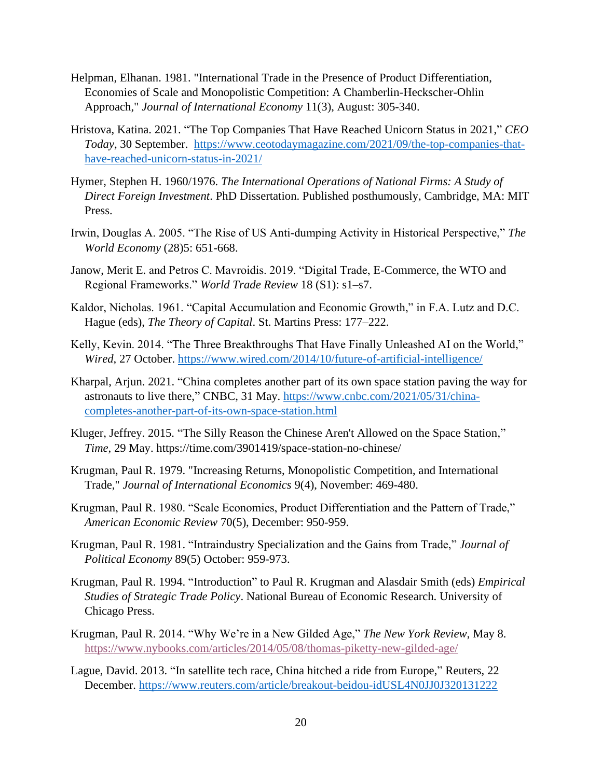- Helpman, Elhanan. 1981. "International Trade in the Presence of Product Differentiation, Economies of Scale and Monopolistic Competition: A Chamberlin-Heckscher-Ohlin Approach," *Journal of International Economy* 11(3), August: 305-340.
- Hristova, Katina. 2021. "The Top Companies That Have Reached Unicorn Status in 2021," *CEO Today*, 30 September. [https://www.ceotodaymagazine.com/2021/09/the-top-companies-that](https://www.ceotodaymagazine.com/2021/09/the-top-companies-that-have-reached-unicorn-status-in-2021/)[have-reached-unicorn-status-in-2021/](https://www.ceotodaymagazine.com/2021/09/the-top-companies-that-have-reached-unicorn-status-in-2021/)
- Hymer, Stephen H. 1960/1976. *The International Operations of National Firms: A Study of Direct Foreign Investment*. PhD Dissertation. Published posthumously, Cambridge, MA: MIT Press.
- Irwin, Douglas A. 2005. "The Rise of US Anti-dumping Activity in Historical Perspective," *The World Economy* (28)5: 651-668.
- Janow, Merit E. and Petros C. Mavroidis. 2019. "Digital Trade, E-Commerce, the WTO and Regional Frameworks." *World Trade Review* 18 (S1): s1–s7.
- Kaldor, Nicholas. 1961. "Capital Accumulation and Economic Growth," in F.A. Lutz and D.C. Hague (eds), *The Theory of Capital*. St. Martins Press: 177–222.
- Kelly, Kevin. 2014. "The Three Breakthroughs That Have Finally Unleashed AI on the World," *Wired*, 27 October.<https://www.wired.com/2014/10/future-of-artificial-intelligence/>
- Kharpal, Arjun. 2021. "China completes another part of its own space station paving the way for astronauts to live there," CNBC, 31 May. [https://www.cnbc.com/2021/05/31/china](https://www.cnbc.com/2021/05/31/china-completes-another-part-of-its-own-space-station.html)[completes-another-part-of-its-own-space-station.html](https://www.cnbc.com/2021/05/31/china-completes-another-part-of-its-own-space-station.html)
- Kluger, Jeffrey. 2015. "The Silly Reason the Chinese Aren't Allowed on the Space Station," *Time*, 29 May. https://time.com/3901419/space-station-no-chinese/
- Krugman, Paul R. 1979. "Increasing Returns, Monopolistic Competition, and International Trade," *Journal of International Economics* 9(4), November: 469-480.
- Krugman, Paul R. 1980. "Scale Economies, Product Differentiation and the Pattern of Trade," *American Economic Review* 70(5), December: 950-959.
- Krugman, Paul R. 1981. "Intraindustry Specialization and the Gains from Trade," *Journal of Political Economy* 89(5) October: 959-973.
- Krugman, Paul R. 1994. "Introduction" to Paul R. Krugman and Alasdair Smith (eds) *Empirical Studies of Strategic Trade Policy*. National Bureau of Economic Research. University of Chicago Press.
- Krugman, Paul R. 2014. "Why We're in a New Gilded Age," *The New York Review*, May 8. <https://www.nybooks.com/articles/2014/05/08/thomas-piketty-new-gilded-age/>
- Lague, David. 2013. "In satellite tech race, China hitched a ride from Europe," Reuters, 22 December.<https://www.reuters.com/article/breakout-beidou-idUSL4N0JJ0J320131222>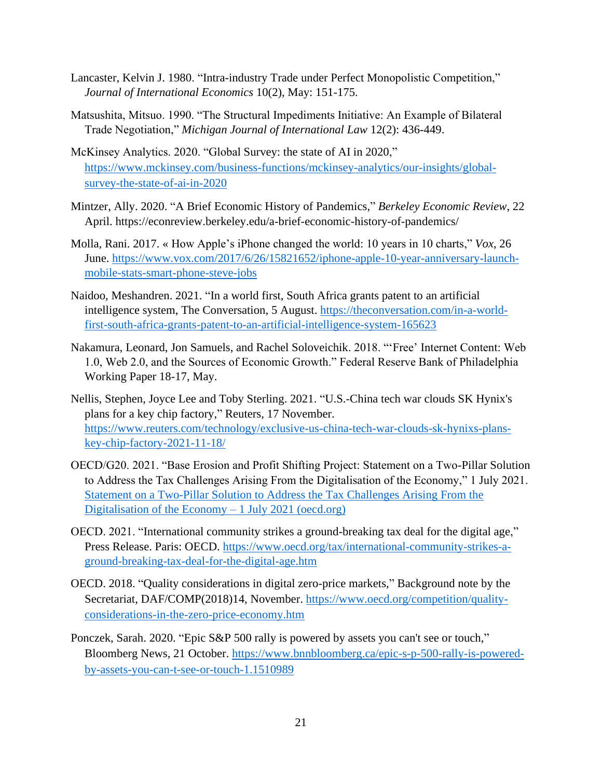- Lancaster, Kelvin J. 1980. "Intra-industry Trade under Perfect Monopolistic Competition," *Journal of International Economics* 10(2), May: 151-175.
- Matsushita, Mitsuo. 1990. "The Structural Impediments Initiative: An Example of Bilateral Trade Negotiation," *Michigan Journal of International Law* 12(2): 436-449.
- McKinsey Analytics. 2020. "Global Survey: the state of AI in 2020," [https://www.mckinsey.com/business-functions/mckinsey-analytics/our-insights/global](https://www.mckinsey.com/business-functions/mckinsey-analytics/our-insights/global-survey-the-state-of-ai-in-2020)[survey-the-state-of-ai-in-2020](https://www.mckinsey.com/business-functions/mckinsey-analytics/our-insights/global-survey-the-state-of-ai-in-2020)
- Mintzer, Ally. 2020. "A Brief Economic History of Pandemics," *Berkeley Economic Review*, 22 April. https://econreview.berkeley.edu/a-brief-economic-history-of-pandemics/
- Molla, Rani. 2017. « How Apple's iPhone changed the world: 10 years in 10 charts," *Vox*, 26 June. [https://www.vox.com/2017/6/26/15821652/iphone-apple-10-year-anniversary-launch](https://www.vox.com/2017/6/26/15821652/iphone-apple-10-year-anniversary-launch-mobile-stats-smart-phone-steve-jobs)[mobile-stats-smart-phone-steve-jobs](https://www.vox.com/2017/6/26/15821652/iphone-apple-10-year-anniversary-launch-mobile-stats-smart-phone-steve-jobs)
- Naidoo, Meshandren. 2021. "In a world first, South Africa grants patent to an artificial intelligence system, The Conversation, 5 August. [https://theconversation.com/in-a-world](https://theconversation.com/in-a-world-first-south-africa-grants-patent-to-an-artificial-intelligence-system-165623)[first-south-africa-grants-patent-to-an-artificial-intelligence-system-165623](https://theconversation.com/in-a-world-first-south-africa-grants-patent-to-an-artificial-intelligence-system-165623)
- Nakamura, Leonard, Jon Samuels, and Rachel Soloveichik. 2018. "'Free' Internet Content: Web 1.0, Web 2.0, and the Sources of Economic Growth." Federal Reserve Bank of Philadelphia Working Paper 18-17, May.
- Nellis, Stephen, Joyce Lee and Toby Sterling. 2021. "U.S.-China tech war clouds SK Hynix's plans for a key chip factory," Reuters, 17 November. [https://www.reuters.com/technology/exclusive-us-china-tech-war-clouds-sk-hynixs-plans](https://www.reuters.com/technology/exclusive-us-china-tech-war-clouds-sk-hynixs-plans-key-chip-factory-2021-11-18/)[key-chip-factory-2021-11-18/](https://www.reuters.com/technology/exclusive-us-china-tech-war-clouds-sk-hynixs-plans-key-chip-factory-2021-11-18/)
- OECD/G20. 2021. "Base Erosion and Profit Shifting Project: Statement on a Two-Pillar Solution to Address the Tax Challenges Arising From the Digitalisation of the Economy," 1 July 2021. [Statement on a Two-Pillar Solution to Address the Tax Challenges Arising From the](https://www.oecd.org/tax/beps/statement-on-a-two-pillar-solution-to-address-the-tax-challenges-arising-from-the-digitalisation-of-the-economy-july-2021.pdf)  [Digitalisation of the Economy –](https://www.oecd.org/tax/beps/statement-on-a-two-pillar-solution-to-address-the-tax-challenges-arising-from-the-digitalisation-of-the-economy-july-2021.pdf) 1 July 2021 (oecd.org)
- OECD. 2021. "International community strikes a ground-breaking tax deal for the digital age," Press Release. Paris: OECD. [https://www.oecd.org/tax/international-community-strikes-a](https://www.oecd.org/tax/international-community-strikes-a-ground-breaking-tax-deal-for-the-digital-age.htm)[ground-breaking-tax-deal-for-the-digital-age.htm](https://www.oecd.org/tax/international-community-strikes-a-ground-breaking-tax-deal-for-the-digital-age.htm)
- OECD. 2018. "Quality considerations in digital zero-price markets," Background note by the Secretariat, DAF/COMP(2018)14, November. [https://www.oecd.org/competition/quality](https://www.oecd.org/competition/quality-considerations-in-the-zero-price-economy.htm)[considerations-in-the-zero-price-economy.htm](https://www.oecd.org/competition/quality-considerations-in-the-zero-price-economy.htm)
- Ponczek, Sarah. 2020. "Epic S&P 500 rally is powered by assets you can't see or touch," Bloomberg News, 21 October. [https://www.bnnbloomberg.ca/epic-s-p-500-rally-is-powered](https://www.bnnbloomberg.ca/epic-s-p-500-rally-is-powered-by-assets-you-can-t-see-or-touch-1.1510989)[by-assets-you-can-t-see-or-touch-1.1510989](https://www.bnnbloomberg.ca/epic-s-p-500-rally-is-powered-by-assets-you-can-t-see-or-touch-1.1510989)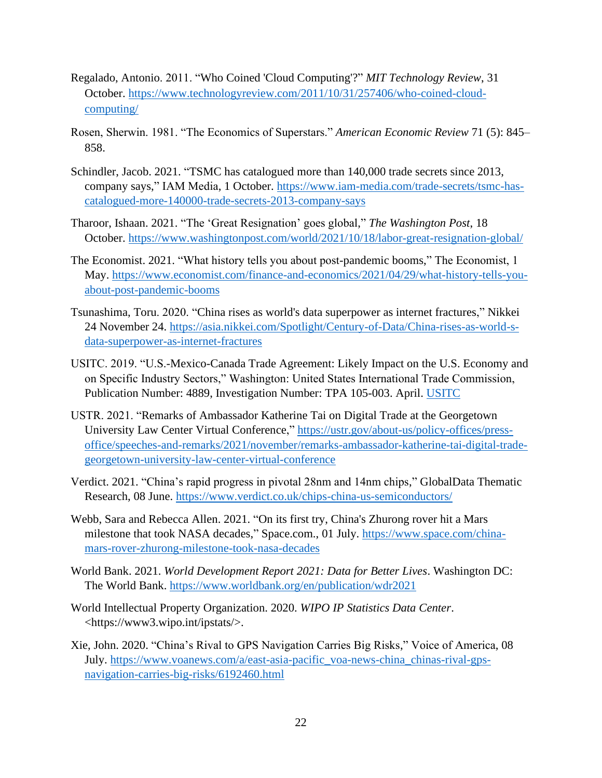- Regalado, Antonio. 2011. "Who Coined 'Cloud Computing'?" *MIT Technology Review*, 31 October. [https://www.technologyreview.com/2011/10/31/257406/who-coined-cloud](https://www.technologyreview.com/2011/10/31/257406/who-coined-cloud-computing/)[computing/](https://www.technologyreview.com/2011/10/31/257406/who-coined-cloud-computing/)
- Rosen, Sherwin. 1981. "The Economics of Superstars." *American Economic Review* 71 (5): 845– 858.
- Schindler, Jacob. 2021. "TSMC has catalogued more than 140,000 trade secrets since 2013, company says," IAM Media, 1 October. [https://www.iam-media.com/trade-secrets/tsmc-has](https://www.iam-media.com/trade-secrets/tsmc-has-catalogued-more-140000-trade-secrets-2013-company-says)[catalogued-more-140000-trade-secrets-2013-company-says](https://www.iam-media.com/trade-secrets/tsmc-has-catalogued-more-140000-trade-secrets-2013-company-says)
- Tharoor, Ishaan. 2021. "The 'Great Resignation' goes global," *The Washington Post*, 18 October. <https://www.washingtonpost.com/world/2021/10/18/labor-great-resignation-global/>
- The Economist. 2021. "What history tells you about post-pandemic booms," The Economist, 1 May. [https://www.economist.com/finance-and-economics/2021/04/29/what-history-tells-you](https://www.economist.com/finance-and-economics/2021/04/29/what-history-tells-you-about-post-pandemic-booms)[about-post-pandemic-booms](https://www.economist.com/finance-and-economics/2021/04/29/what-history-tells-you-about-post-pandemic-booms)
- Tsunashima, Toru. 2020. "China rises as world's data superpower as internet fractures," Nikkei 24 November 24. [https://asia.nikkei.com/Spotlight/Century-of-Data/China-rises-as-world-s](https://asia.nikkei.com/Spotlight/Century-of-Data/China-rises-as-world-s-data-superpower-as-internet-fractures)[data-superpower-as-internet-fractures](https://asia.nikkei.com/Spotlight/Century-of-Data/China-rises-as-world-s-data-superpower-as-internet-fractures)
- USITC. 2019. "U.S.-Mexico-Canada Trade Agreement: Likely Impact on the U.S. Economy and on Specific Industry Sectors," Washington: United States International Trade Commission, Publication Number: 4889, Investigation Number: TPA 105-003. April. [USITC](https://www.google.com/url?sa=t&rct=j&q=&esrc=s&source=web&cd=&ved=2ahUKEwj-p9qbsPLzAhWim-AKHV1xBPUQFnoECAQQAQ&url=https%3A%2F%2Fwww.usitc.gov%2Fpublications%2F332%2Fpub4889.pdf&usg=AOvVaw1FfuWmpCtHT2jIT5fAIw9y)
- USTR. 2021. "Remarks of Ambassador Katherine Tai on Digital Trade at the Georgetown University Law Center Virtual Conference," [https://ustr.gov/about-us/policy-offices/press](https://ustr.gov/about-us/policy-offices/press-office/speeches-and-remarks/2021/november/remarks-ambassador-katherine-tai-digital-trade-georgetown-university-law-center-virtual-conference)[office/speeches-and-remarks/2021/november/remarks-ambassador-katherine-tai-digital-trade](https://ustr.gov/about-us/policy-offices/press-office/speeches-and-remarks/2021/november/remarks-ambassador-katherine-tai-digital-trade-georgetown-university-law-center-virtual-conference)[georgetown-university-law-center-virtual-conference](https://ustr.gov/about-us/policy-offices/press-office/speeches-and-remarks/2021/november/remarks-ambassador-katherine-tai-digital-trade-georgetown-university-law-center-virtual-conference)
- Verdict. 2021. "China's rapid progress in pivotal 28nm and 14nm chips," GlobalData Thematic Research, 08 June.<https://www.verdict.co.uk/chips-china-us-semiconductors/>
- Webb, Sara and Rebecca Allen. 2021. "On its first try, China's Zhurong rover hit a Mars milestone that took NASA decades," Space.com., 01 July. [https://www.space.com/china](https://www.space.com/china-mars-rover-zhurong-milestone-took-nasa-decades)[mars-rover-zhurong-milestone-took-nasa-decades](https://www.space.com/china-mars-rover-zhurong-milestone-took-nasa-decades)
- World Bank. 2021. *World Development Report 2021: Data for Better Lives*. Washington DC: The World Bank.<https://www.worldbank.org/en/publication/wdr2021>
- World Intellectual Property Organization. 2020. *WIPO IP Statistics Data Center*. <https://www3.wipo.int/ipstats/>.
- Xie, John. 2020. "China's Rival to GPS Navigation Carries Big Risks," Voice of America, 08 July. [https://www.voanews.com/a/east-asia-pacific\\_voa-news-china\\_chinas-rival-gps](https://www.voanews.com/a/east-asia-pacific_voa-news-china_chinas-rival-gps-navigation-carries-big-risks/6192460.html)[navigation-carries-big-risks/6192460.html](https://www.voanews.com/a/east-asia-pacific_voa-news-china_chinas-rival-gps-navigation-carries-big-risks/6192460.html)